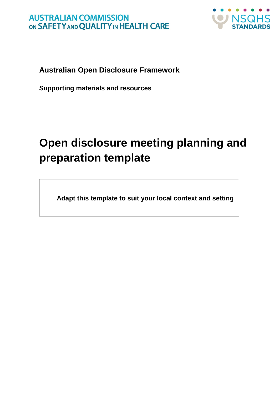

**Australian Open Disclosure Framework** 

**Supporting materials and resources**

# **Open disclosure meeting planning and preparation template**

**Adapt this template to suit your local context and setting**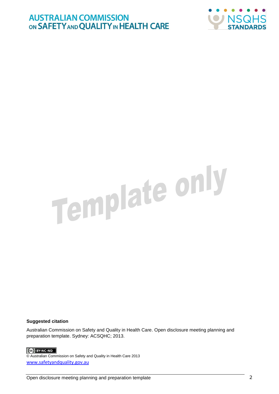

# Template only

#### **Suggested citation**

Australian Commission on Safety and Quality in Health Care. Open disclosure meeting planning and preparation template. Sydney: ACSQHC; 2013.

#### CC BY-NC-ND

© Australian Commission on Safety and Quality in Health Care 2013 [www.safetyandquality.gov.au](http://www.safetyandquality.gov.au/)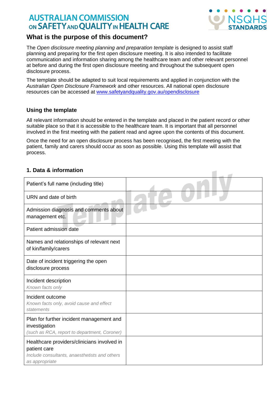

 $\blacksquare$ 

#### **What is the purpose of this document?**

The *Open disclosure meeting planning and preparation template* is designed to assist staff planning and preparing for the first open disclosure meeting. It is also intended to facilitate communication and information sharing among the healthcare team and other relevant personnel at before and during the first open disclosure meeting and throughout the subsequent open disclosure process.

The template should be adapted to suit local requirements and applied in conjunction with the *Australian Open Disclosure Framework* and other resources. All national open disclosure resources can be accessed at [www.safetyandquality.gov.au/opendisclosure](http://www.safetyandquality.gov.au/our-work/open-disclosure)

#### **Using the template**

All relevant information should be entered in the template and placed in the patient record or other suitable place so that it is accessible to the healthcare team. It is important that all personnel involved in the first meeting with the patient read and agree upon the contents of this document.

Once the need for an open disclosure process has been recognised, the first meeting with the patient, family and carers should occur as soon as possible. Using this template will assist that process.

#### **1. Data & information**

| Patient's full name (including title)                                                                                          |  |
|--------------------------------------------------------------------------------------------------------------------------------|--|
| URN and date of birth                                                                                                          |  |
| Admission diagnosis and comments about<br>management etc.                                                                      |  |
| Patient admission date                                                                                                         |  |
| Names and relationships of relevant next<br>of kin/family/carers                                                               |  |
| Date of incident triggering the open<br>disclosure process                                                                     |  |
| Incident description<br>Known facts only                                                                                       |  |
| Incident outcome<br>Known facts only, avoid cause and effect<br>statements                                                     |  |
| Plan for further incident management and<br>investigation<br>(such as RCA, report to department, Coroner)                      |  |
| Healthcare providers/clinicians involved in<br>patient care<br>Include consultants, anaesthetists and others<br>as appropriate |  |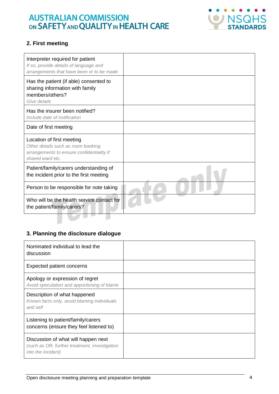

#### **2. First meeting**

| Interpreter required for patient<br>If so, provide details of language and<br>arrangements that have been or to be made           |  |
|-----------------------------------------------------------------------------------------------------------------------------------|--|
| Has the patient (if able) consented to<br>sharing information with family<br>members/others?<br>Give details                      |  |
| Has the insurer been notified?<br>Include date of notification                                                                    |  |
| Date of first meeting                                                                                                             |  |
| Location of first meeting<br>Other details such as room booking,<br>arrangements to ensure confidentiality if<br>shared ward etc. |  |
| Patient/family/carers understanding of<br>the incident prior to the first meeting                                                 |  |
| Person to be responsible for note taking                                                                                          |  |
| Who will be the health service contact for<br>the patient/family/carers?                                                          |  |
|                                                                                                                                   |  |

#### **3. Planning the disclosure dialogue**

| Nominated individual to lead the<br>discussion                                                             |  |
|------------------------------------------------------------------------------------------------------------|--|
| <b>Expected patient concerns</b>                                                                           |  |
| Apology or expression of regret<br>Avoid speculation and apportioning of blame                             |  |
| Description of what happened<br>Known facts only, avoid blaming individuals<br>and self                    |  |
| Listening to patient/family/carers<br>concerns (ensure they feel listened to)                              |  |
| Discussion of what will happen next<br>(such as OR, further treatment, investigation<br>into the incident) |  |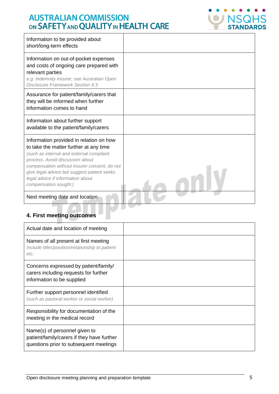

| Information to be provided about<br>short/long-term effects                                                                                                                                                                                                                                                                   |  |
|-------------------------------------------------------------------------------------------------------------------------------------------------------------------------------------------------------------------------------------------------------------------------------------------------------------------------------|--|
| Information on out-of-pocket expenses<br>and costs of ongoing care prepared with<br>relevant parties<br>e.g. indemnity insurer; see Australian Open<br>Disclosure Framework Section 4.3                                                                                                                                       |  |
| Assurance for patient/family/carers that<br>they will be informed when further<br>information comes to hand                                                                                                                                                                                                                   |  |
| Information about further support<br>available to the patient/family/carers                                                                                                                                                                                                                                                   |  |
| Information provided in relation on how<br>to take the matter further at any time<br>(such as internal and external complaint<br>process. Avoid discussion about<br>compensation without insurer consent, do not<br>give legal advice but suggest patient seeks<br>legal advice if information about<br>compensation sought.) |  |
| Next meeting date and location                                                                                                                                                                                                                                                                                                |  |

# **4. First meeting outcomes**

| Actual date and location of meeting                                                                                   |  |
|-----------------------------------------------------------------------------------------------------------------------|--|
| Names of all present at first meeting<br>Include titles/position/relationship to patient<br>etc.                      |  |
| Concerns expressed by patient/family/<br>carers including requests for further<br>information to be supplied          |  |
| Further support personnel identified<br>(such as pastoral worker or social worker)                                    |  |
| Responsibility for documentation of the<br>meeting in the medical record                                              |  |
| Name(s) of personnel given to<br>patient/family/carers if they have further<br>questions prior to subsequent meetings |  |